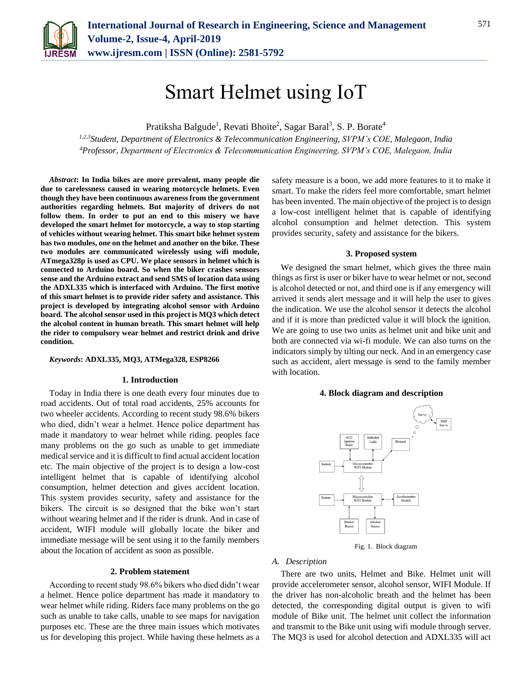

# Smart Helmet using IoT

Pratiksha Balgude<sup>1</sup>, Revati Bhoite<sup>2</sup>, Sagar Baral<sup>3</sup>, S. P. Borate<sup>4</sup>

*1,2,3Student, Department of Electronics & Telecommunication Engineering, SVPM's COE, Malegaon, India 4Professor, Department of Electronics & Telecommunication Engineering, SVPM's COE, Malegaon, India*

*Abstract***: In India bikes are more prevalent, many people die due to carelessness caused in wearing motorcycle helmets. Even though they have been continuous awareness from the government authorities regarding helmets. But majority of drivers do not follow them. In order to put an end to this misery we have developed the smart helmet for motorcycle, a way to stop starting of vehicles without wearing helmet. This smart bike helmet system has two modules, one on the helmet and another on the bike. These two modules are communicated wirelessly using wifi module, ATmega328p is used as CPU. We place sensors in helmet which is connected to Arduino board. So when the biker crashes sensors sense and the Arduino extract and send SMS of location data using the ADXL335 which is interfaced with Arduino. The first motive of this smart helmet is to provide rider safety and assistance. This project is developed by integrating alcohol sensor with Arduino board. The alcohol sensor used in this project is MQ3 which detect the alcohol content in human breath. This smart helmet will help the rider to compulsory wear helmet and restrict drink and drive condition.**

## *Keywords***: ADXL335, MQ3, ATMega328, ESP8266**

#### **1. Introduction**

Today in India there is one death every four minutes due to road accidents. Out of total road accidents, 25% accounts for two wheeler accidents. According to recent study 98.6% bikers who died, didn't wear a helmet. Hence police department has made it mandatory to wear helmet while riding. peoples face many problems on the go such as unable to get immediate medical service and it is difficult to find actual accident location etc. The main objective of the project is to design a low-cost intelligent helmet that is capable of identifying alcohol consumption, helmet detection and gives accident location. This system provides security, safety and assistance for the bikers. The circuit is so designed that the bike won't start without wearing helmet and if the rider is drunk. And in case of accident, WIFI module will globally locate the biker and immediate message will be sent using it to the family members about the location of accident as soon as possible.

## **2. Problem statement**

According to recent study 98.6% bikers who died didn't wear a helmet. Hence police department has made it mandatory to wear helmet while riding. Riders face many problems on the go such as unable to take calls, unable to see maps for navigation purposes etc. These are the three main issues which motivates us for developing this project. While having these helmets as a

safety measure is a boon, we add more features to it to make it smart. To make the riders feel more comfortable, smart helmet has been invented. The main objective of the project is to design a low-cost intelligent helmet that is capable of identifying alcohol consumption and helmet detection. This system provides security, safety and assistance for the bikers.

### **3. Proposed system**

We designed the smart helmet, which gives the three main things as first is user or biker have to wear helmet or not, second is alcohol detected or not, and third one is if any emergency will arrived it sends alert message and it will help the user to gives the indication. We use the alcohol sensor it detects the alcohol and if it is more than predicted value it will block the ignition. We are going to use two units as helmet unit and bike unit and both are connected via wi-fi module. We can also turns on the indicators simply by tilting our neck. And in an emergency case such as accident, alert message is send to the family member with location.

#### **4. Block diagram and description**



Fig. 1. Block diagram

## *A. Description*

There are two units, Helmet and Bike. Helmet unit will provide accelerometer sensor, alcohol sensor, WIFI Module. If the driver has non-alcoholic breath and the helmet has been detected, the corresponding digital output is given to wifi module of Bike unit. The helmet unit collect the information and transmit to the Bike unit using wifi module through server. The MQ3 is used for alcohol detection and ADXL335 will act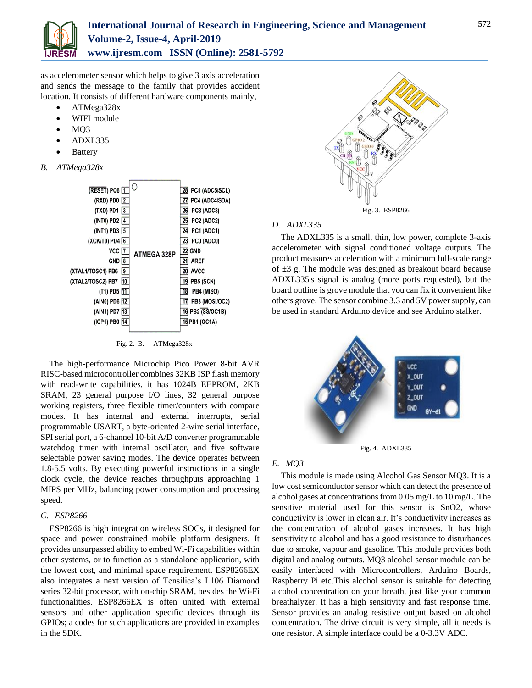

as accelerometer sensor which helps to give 3 axis acceleration and sends the message to the family that provides accident location. It consists of different hardware components mainly,

- ATMega328x
- WIFI module
- MQ3
- ADXL335
- Battery
- *B. ATMega328x*



Fig. 2. B. ATMega328x

The high-performance Microchip Pico Power 8-bit AVR RISC-based microcontroller combines 32KB ISP flash memory with read-write capabilities, it has 1024B EEPROM, 2KB SRAM, 23 general purpose I/O lines, 32 general purpose working registers, three flexible timer/counters with compare modes. It has internal and external interrupts, serial programmable USART, a byte-oriented 2-wire serial interface, SPI serial port, a 6-channel 10-bit A/D converter programmable watchdog timer with internal oscillator, and five software selectable power saving modes. The device operates between 1.8-5.5 volts. By executing powerful instructions in a single clock cycle, the device reaches throughputs approaching 1 MIPS per MHz, balancing power consumption and processing speed.

## *C. ESP8266*

ESP8266 is high integration wireless SOCs, it designed for space and power constrained mobile platform designers. It provides unsurpassed ability to embed Wi-Fi capabilities within other systems, or to function as a standalone application, with the lowest cost, and minimal space requirement. ESP8266EX also integrates a next version of Tensilica's L106 Diamond series 32-bit processor, with on-chip SRAM, besides the Wi-Fi functionalities. ESP8266EX is often united with external sensors and other application specific devices through its GPIOs; a codes for such applications are provided in examples in the SDK.



# *D. ADXL335*

The ADXL335 is a small, thin, low power, complete 3-axis accelerometer with signal conditioned voltage outputs. The product measures acceleration with a minimum full-scale range of  $\pm 3$  g. The module was designed as breakout board because ADXL335's signal is analog (more ports requested), but the board outline is grove module that you can fix it convenient like others grove. The sensor combine 3.3 and 5V power supply, can be used in standard Arduino device and see Arduino stalker.



Fig. 4. ADXL335

# *E. MQ3*

This module is made using Alcohol Gas Sensor MQ3. It is a low cost semiconductor sensor which can detect the presence of alcohol gases at concentrations from 0.05 mg/L to 10 mg/L. The sensitive material used for this sensor is SnO2, whose conductivity is lower in clean air. It's conductivity increases as the concentration of alcohol gases increases. It has high sensitivity to alcohol and has a good resistance to disturbances due to smoke, vapour and gasoline. This module provides both digital and analog outputs. MQ3 alcohol sensor module can be easily interfaced with Microcontrollers, Arduino Boards, Raspberry Pi etc.This alcohol sensor is suitable for detecting alcohol concentration on your breath, just like your common breathalyzer. It has a high sensitivity and fast response time. Sensor provides an analog resistive output based on alcohol concentration. The drive circuit is very simple, all it needs is one resistor. A simple interface could be a 0-3.3V ADC.